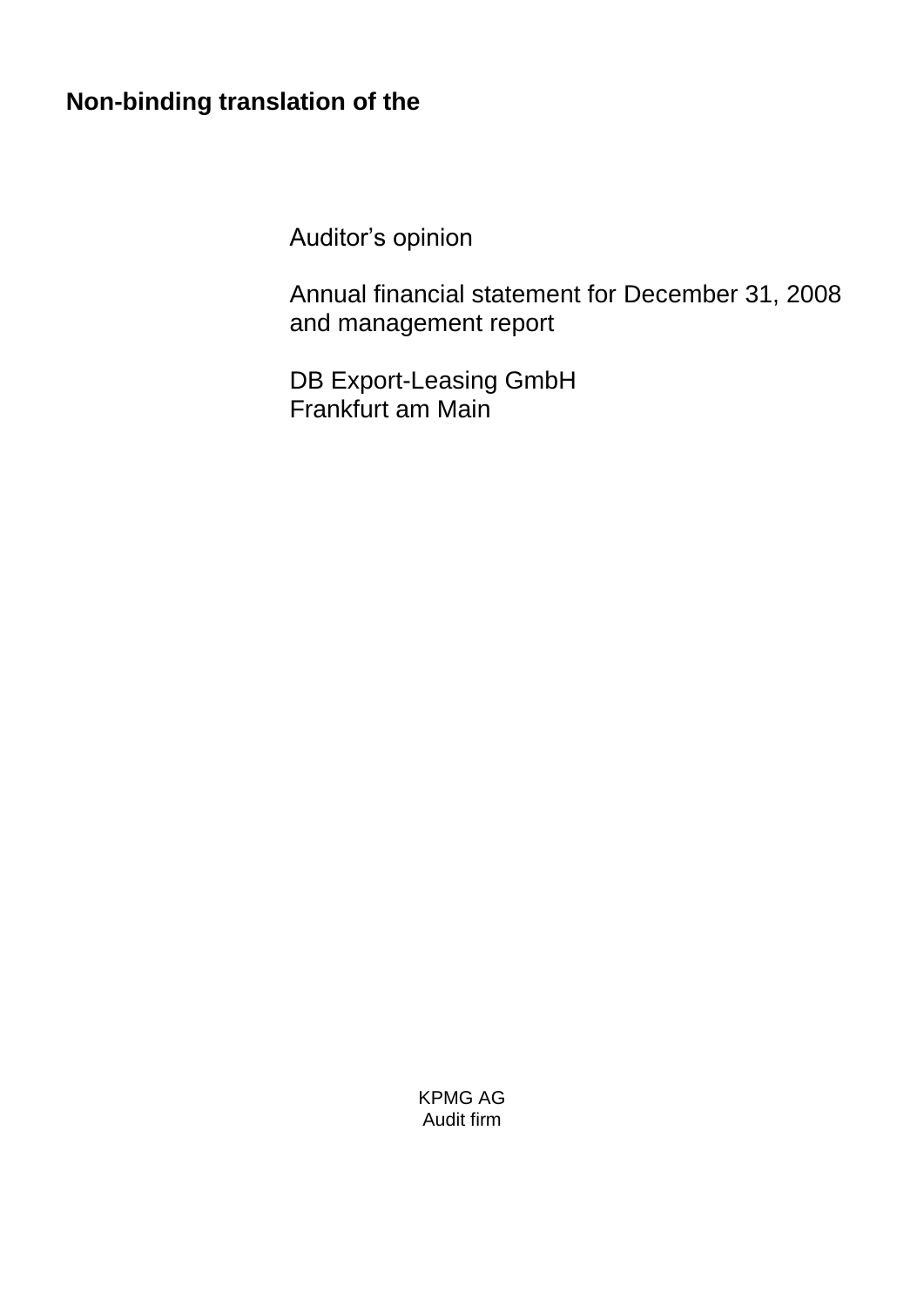# **Non-binding translation of the**

Auditor's opinion

Annual financial statement for December 31, 2008 and management report

DB Export-Leasing GmbH Frankfurt am Main

> KPMG AG Audit firm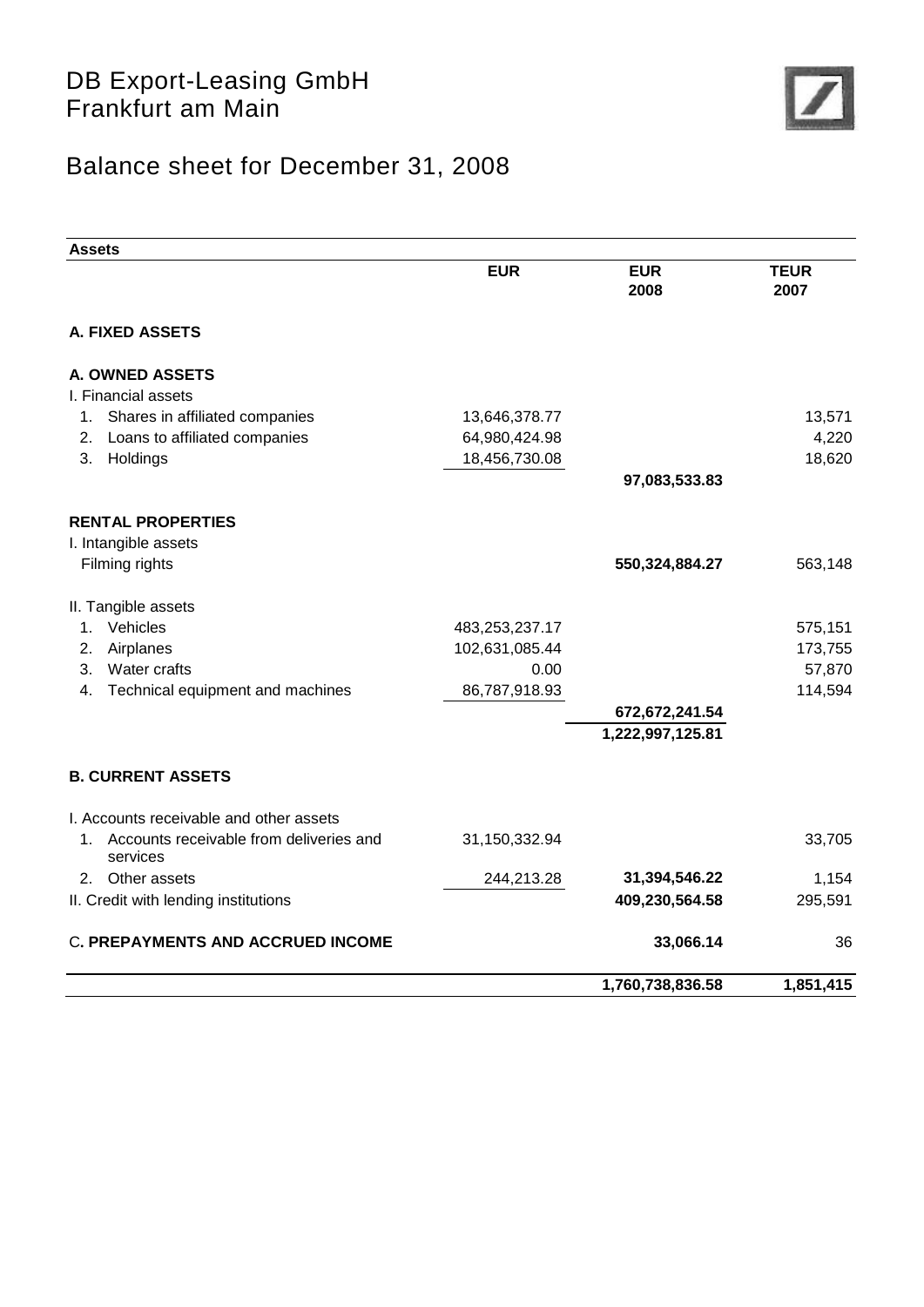

# Balance sheet for December 31, 2008

| <b>Assets</b>                                             |                |                    |                     |
|-----------------------------------------------------------|----------------|--------------------|---------------------|
|                                                           | <b>EUR</b>     | <b>EUR</b><br>2008 | <b>TEUR</b><br>2007 |
| A. FIXED ASSETS                                           |                |                    |                     |
| A. OWNED ASSETS                                           |                |                    |                     |
| I. Financial assets                                       |                |                    |                     |
| Shares in affiliated companies<br>1.                      | 13,646,378.77  |                    | 13,571              |
| Loans to affiliated companies<br>2.                       | 64,980,424.98  |                    | 4,220               |
| 3.<br>Holdings                                            | 18,456,730.08  |                    | 18,620              |
|                                                           |                | 97,083,533.83      |                     |
| <b>RENTAL PROPERTIES</b>                                  |                |                    |                     |
| I. Intangible assets                                      |                |                    |                     |
| Filming rights                                            |                | 550,324,884.27     | 563,148             |
| II. Tangible assets                                       |                |                    |                     |
| Vehicles<br>1.                                            | 483,253,237.17 |                    | 575,151             |
| Airplanes<br>2.                                           | 102,631,085.44 |                    | 173,755             |
| Water crafts<br>3.                                        | 0.00           |                    | 57,870              |
| Technical equipment and machines<br>4.                    | 86,787,918.93  |                    | 114,594             |
|                                                           |                | 672,672,241.54     |                     |
|                                                           |                | 1,222,997,125.81   |                     |
| <b>B. CURRENT ASSETS</b>                                  |                |                    |                     |
| I. Accounts receivable and other assets                   |                |                    |                     |
| Accounts receivable from deliveries and<br>1.<br>services | 31,150,332.94  |                    | 33,705              |
| 2. Other assets                                           | 244,213.28     | 31,394,546.22      | 1,154               |
| II. Credit with lending institutions                      |                | 409,230,564.58     | 295,591             |
| <b>C. PREPAYMENTS AND ACCRUED INCOME</b>                  |                | 33,066.14          | 36                  |
|                                                           |                | 1,760,738,836.58   | 1,851,415           |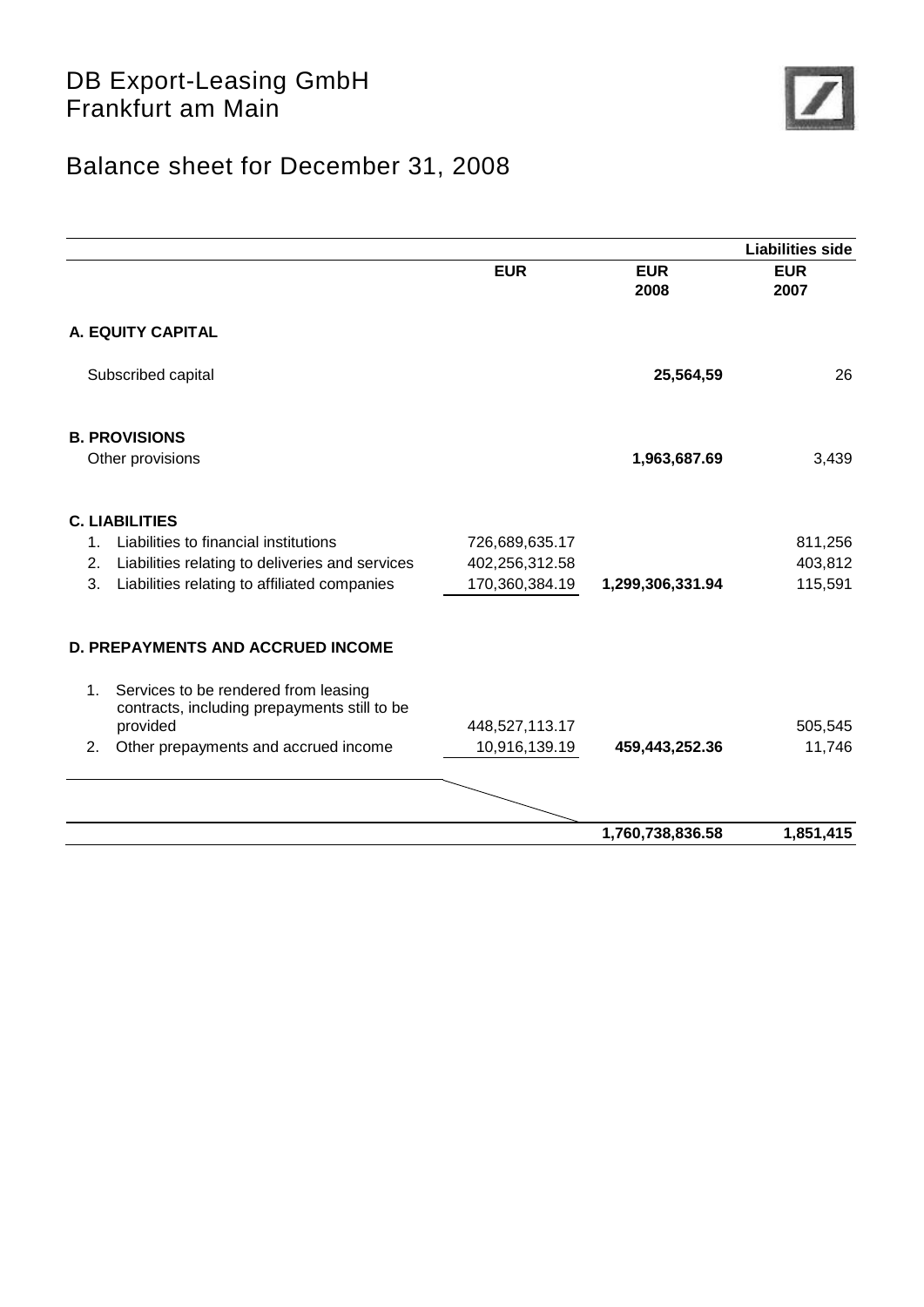

# Balance sheet for December 31, 2008

|                |                                                                                      |                |                    | <b>Liabilities side</b> |
|----------------|--------------------------------------------------------------------------------------|----------------|--------------------|-------------------------|
|                |                                                                                      | <b>EUR</b>     | <b>EUR</b><br>2008 | <b>EUR</b><br>2007      |
|                | A. EQUITY CAPITAL                                                                    |                |                    |                         |
|                | Subscribed capital                                                                   |                | 25,564,59          | 26                      |
|                | <b>B. PROVISIONS</b>                                                                 |                |                    |                         |
|                | Other provisions                                                                     |                | 1,963,687.69       | 3,439                   |
|                | <b>C. LIABILITIES</b>                                                                |                |                    |                         |
| $\mathbf{1}$ . | Liabilities to financial institutions                                                | 726,689,635.17 |                    | 811,256                 |
| 2.             | Liabilities relating to deliveries and services                                      | 402,256,312.58 |                    | 403,812                 |
| 3.             | Liabilities relating to affiliated companies                                         | 170,360,384.19 | 1,299,306,331.94   | 115,591                 |
|                | <b>D. PREPAYMENTS AND ACCRUED INCOME</b>                                             |                |                    |                         |
| 1.             | Services to be rendered from leasing<br>contracts, including prepayments still to be |                |                    |                         |
|                | provided                                                                             | 448,527,113.17 |                    | 505,545                 |
| 2.             | Other prepayments and accrued income                                                 | 10,916,139.19  | 459,443,252.36     | 11,746                  |
|                |                                                                                      |                |                    |                         |
|                |                                                                                      |                | 1,760,738,836.58   | 1,851,415               |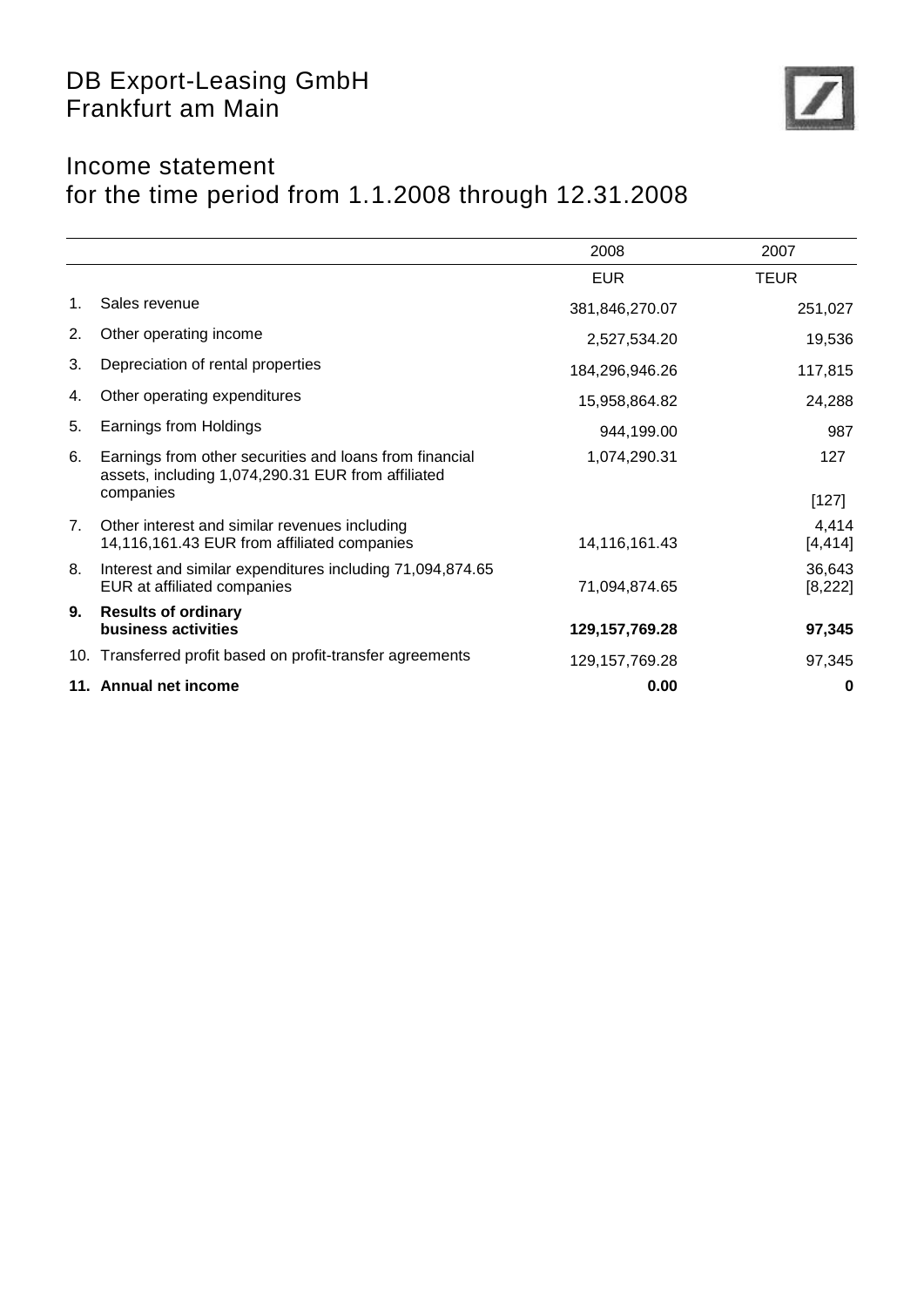

## Income statement for the time period from 1.1.2008 through 12.31.2008

|    |                                                                                                               | 2008              | 2007               |
|----|---------------------------------------------------------------------------------------------------------------|-------------------|--------------------|
|    |                                                                                                               | <b>EUR</b>        | <b>TEUR</b>        |
| 1. | Sales revenue                                                                                                 | 381,846,270.07    | 251,027            |
| 2. | Other operating income                                                                                        | 2,527,534.20      | 19,536             |
| 3. | Depreciation of rental properties                                                                             | 184,296,946.26    | 117,815            |
| 4. | Other operating expenditures                                                                                  | 15,958,864.82     | 24,288             |
| 5. | Earnings from Holdings                                                                                        | 944,199.00        | 987                |
| 6. | Earnings from other securities and loans from financial<br>assets, including 1,074,290.31 EUR from affiliated | 1,074,290.31      | 127                |
|    | companies                                                                                                     |                   | $[127]$            |
| 7. | Other interest and similar revenues including<br>14,116,161.43 EUR from affiliated companies                  | 14,116,161.43     | 4,414<br>[4, 414]  |
| 8. | Interest and similar expenditures including 71,094,874.65<br>EUR at affiliated companies                      | 71,094,874.65     | 36,643<br>[8, 222] |
| 9. | <b>Results of ordinary</b><br><b>business activities</b>                                                      | 129, 157, 769. 28 | 97,345             |
|    | 10. Transferred profit based on profit-transfer agreements                                                    | 129, 157, 769. 28 | 97,345             |
|    | 11. Annual net income                                                                                         | 0.00              | 0                  |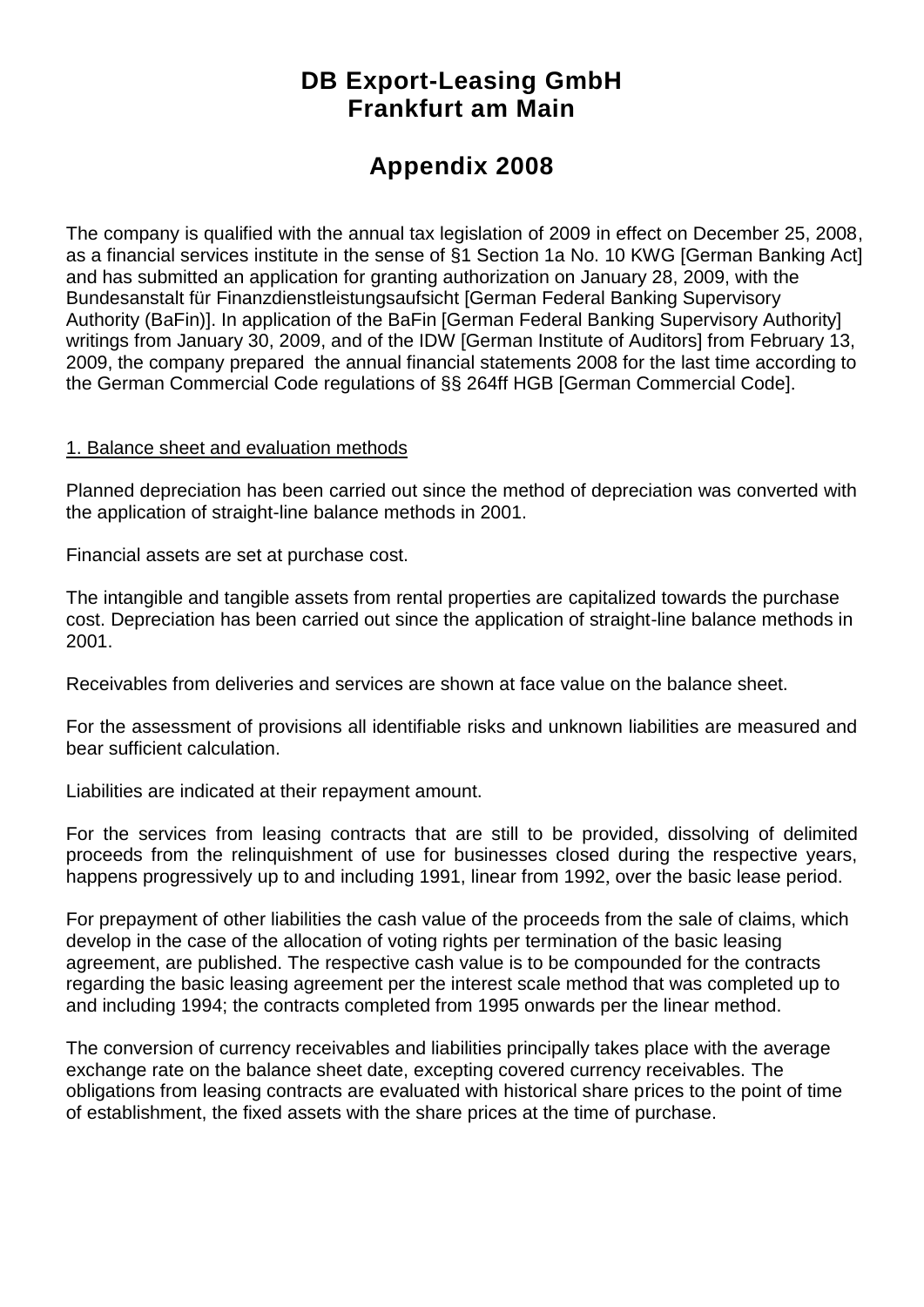## **DB Export-Leasing GmbH Frankfurt am Main**

## **Appendix 2008**

The company is qualified with the annual tax legislation of 2009 in effect on December 25, 2008, as a financial services institute in the sense of §1 Section 1a No. 10 KWG [German Banking Act] and has submitted an application for granting authorization on January 28, 2009, with the Bundesanstalt für Finanzdienstleistungsaufsicht [German Federal Banking Supervisory Authority (BaFin)]. In application of the BaFin [German Federal Banking Supervisory Authority] writings from January 30, 2009, and of the IDW [German Institute of Auditors] from February 13, 2009, the company prepared the annual financial statements 2008 for the last time according to the German Commercial Code regulations of §§ 264ff HGB [German Commercial Code].

#### 1. Balance sheet and evaluation methods

Planned depreciation has been carried out since the method of depreciation was converted with the application of straight-line balance methods in 2001.

Financial assets are set at purchase cost.

The intangible and tangible assets from rental properties are capitalized towards the purchase cost. Depreciation has been carried out since the application of straight-line balance methods in 2001.

Receivables from deliveries and services are shown at face value on the balance sheet.

For the assessment of provisions all identifiable risks and unknown liabilities are measured and bear sufficient calculation.

Liabilities are indicated at their repayment amount.

For the services from leasing contracts that are still to be provided, dissolving of delimited proceeds from the relinquishment of use for businesses closed during the respective years, happens progressively up to and including 1991, linear from 1992, over the basic lease period.

For prepayment of other liabilities the cash value of the proceeds from the sale of claims, which develop in the case of the allocation of voting rights per termination of the basic leasing agreement, are published. The respective cash value is to be compounded for the contracts regarding the basic leasing agreement per the interest scale method that was completed up to and including 1994; the contracts completed from 1995 onwards per the linear method.

The conversion of currency receivables and liabilities principally takes place with the average exchange rate on the balance sheet date, excepting covered currency receivables. The obligations from leasing contracts are evaluated with historical share prices to the point of time of establishment, the fixed assets with the share prices at the time of purchase.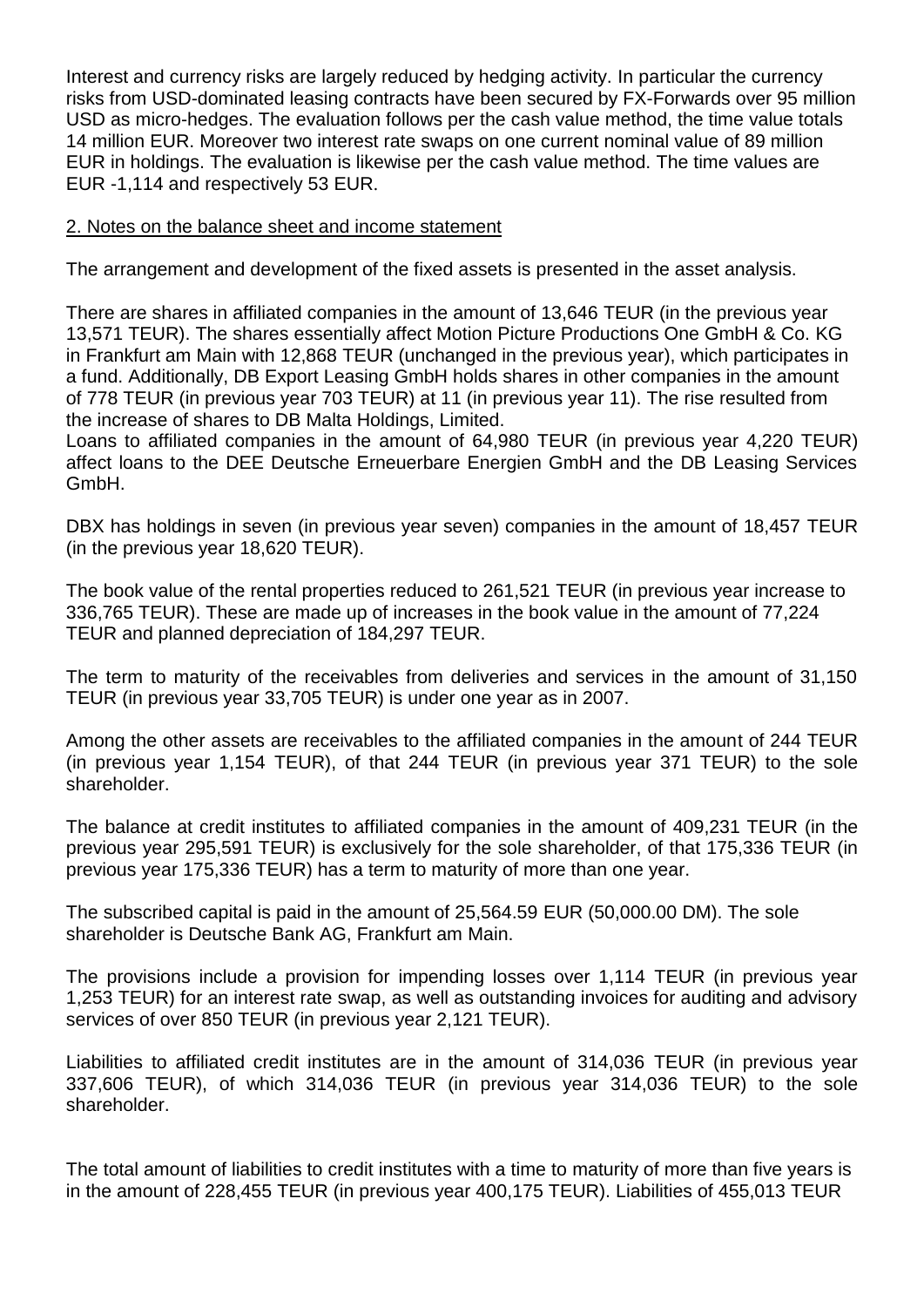Interest and currency risks are largely reduced by hedging activity. In particular the currency risks from USD-dominated leasing contracts have been secured by FX-Forwards over 95 million USD as micro-hedges. The evaluation follows per the cash value method, the time value totals 14 million EUR. Moreover two interest rate swaps on one current nominal value of 89 million EUR in holdings. The evaluation is likewise per the cash value method. The time values are EUR -1,114 and respectively 53 EUR.

#### 2. Notes on the balance sheet and income statement

The arrangement and development of the fixed assets is presented in the asset analysis.

There are shares in affiliated companies in the amount of 13,646 TEUR (in the previous year 13,571 TEUR). The shares essentially affect Motion Picture Productions One GmbH & Co. KG in Frankfurt am Main with 12,868 TEUR (unchanged in the previous year), which participates in a fund. Additionally, DB Export Leasing GmbH holds shares in other companies in the amount of 778 TEUR (in previous year 703 TEUR) at 11 (in previous year 11). The rise resulted from the increase of shares to DB Malta Holdings, Limited.

Loans to affiliated companies in the amount of 64,980 TEUR (in previous year 4,220 TEUR) affect loans to the DEE Deutsche Erneuerbare Energien GmbH and the DB Leasing Services GmbH.

DBX has holdings in seven (in previous year seven) companies in the amount of 18,457 TEUR (in the previous year 18,620 TEUR).

The book value of the rental properties reduced to 261,521 TEUR (in previous year increase to 336,765 TEUR). These are made up of increases in the book value in the amount of 77,224 TEUR and planned depreciation of 184,297 TEUR.

The term to maturity of the receivables from deliveries and services in the amount of 31,150 TEUR (in previous year 33,705 TEUR) is under one year as in 2007.

Among the other assets are receivables to the affiliated companies in the amount of 244 TEUR (in previous year 1,154 TEUR), of that 244 TEUR (in previous year 371 TEUR) to the sole shareholder.

The balance at credit institutes to affiliated companies in the amount of 409,231 TEUR (in the previous year 295,591 TEUR) is exclusively for the sole shareholder, of that 175,336 TEUR (in previous year 175,336 TEUR) has a term to maturity of more than one year.

The subscribed capital is paid in the amount of 25,564.59 EUR (50,000.00 DM). The sole shareholder is Deutsche Bank AG, Frankfurt am Main.

The provisions include a provision for impending losses over 1,114 TEUR (in previous year 1,253 TEUR) for an interest rate swap, as well as outstanding invoices for auditing and advisory services of over 850 TEUR (in previous year 2,121 TEUR).

Liabilities to affiliated credit institutes are in the amount of 314,036 TEUR (in previous year 337,606 TEUR), of which 314,036 TEUR (in previous year 314,036 TEUR) to the sole shareholder.

The total amount of liabilities to credit institutes with a time to maturity of more than five years is in the amount of 228,455 TEUR (in previous year 400,175 TEUR). Liabilities of 455,013 TEUR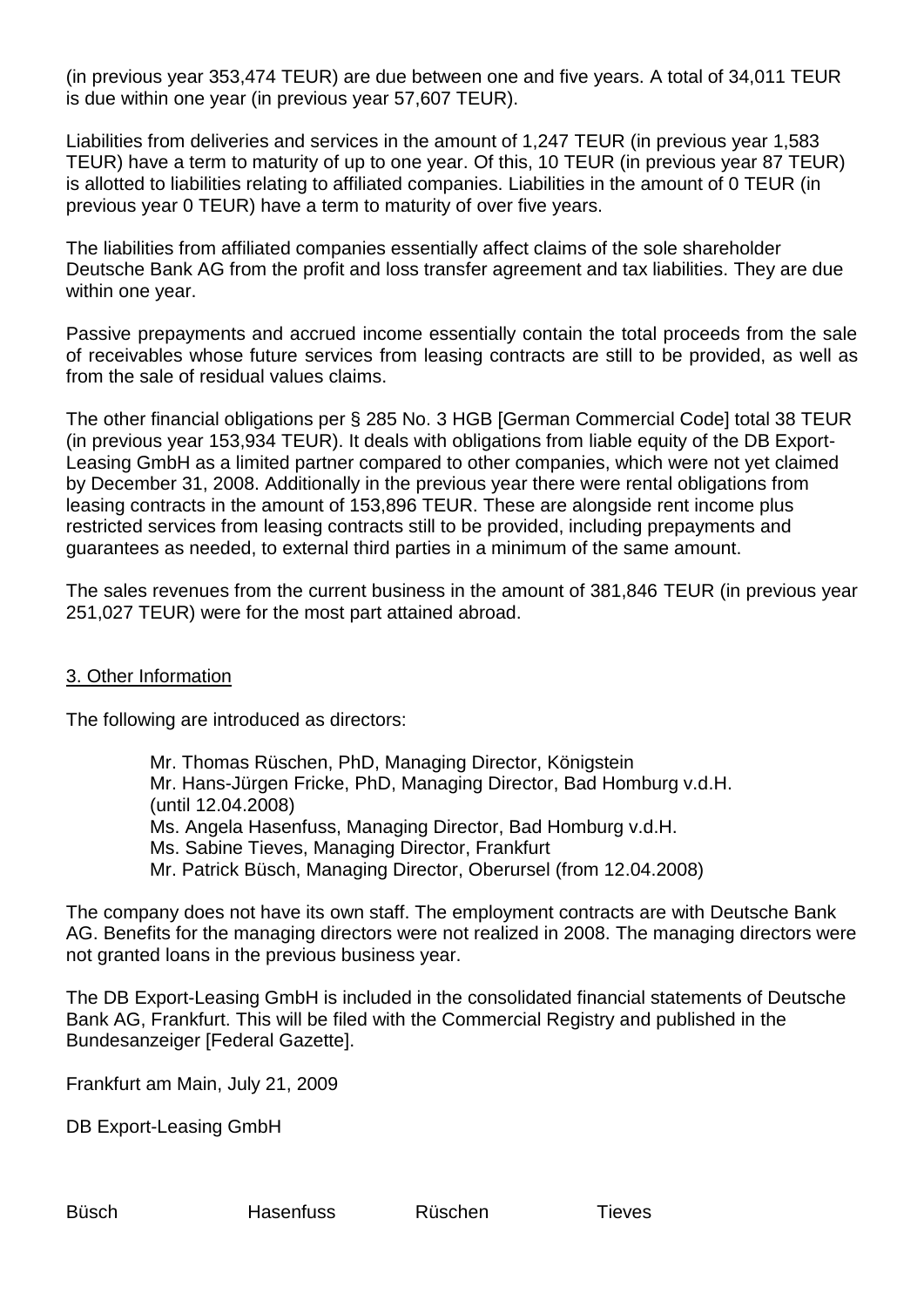(in previous year 353,474 TEUR) are due between one and five years. A total of 34,011 TEUR is due within one year (in previous year 57,607 TEUR).

Liabilities from deliveries and services in the amount of 1,247 TEUR (in previous year 1,583 TEUR) have a term to maturity of up to one year. Of this, 10 TEUR (in previous year 87 TEUR) is allotted to liabilities relating to affiliated companies. Liabilities in the amount of 0 TEUR (in previous year 0 TEUR) have a term to maturity of over five years.

The liabilities from affiliated companies essentially affect claims of the sole shareholder Deutsche Bank AG from the profit and loss transfer agreement and tax liabilities. They are due within one year.

Passive prepayments and accrued income essentially contain the total proceeds from the sale of receivables whose future services from leasing contracts are still to be provided, as well as from the sale of residual values claims.

The other financial obligations per § 285 No. 3 HGB [German Commercial Code] total 38 TEUR (in previous year 153,934 TEUR). It deals with obligations from liable equity of the DB Export-Leasing GmbH as a limited partner compared to other companies, which were not yet claimed by December 31, 2008. Additionally in the previous year there were rental obligations from leasing contracts in the amount of 153,896 TEUR. These are alongside rent income plus restricted services from leasing contracts still to be provided, including prepayments and guarantees as needed, to external third parties in a minimum of the same amount.

The sales revenues from the current business in the amount of 381,846 TEUR (in previous year 251,027 TEUR) were for the most part attained abroad.

#### 3. Other Information

The following are introduced as directors:

Mr. Thomas Rüschen, PhD, Managing Director, Königstein Mr. Hans-Jürgen Fricke, PhD, Managing Director, Bad Homburg v.d.H. (until 12.04.2008) Ms. Angela Hasenfuss, Managing Director, Bad Homburg v.d.H. Ms. Sabine Tieves, Managing Director, Frankfurt Mr. Patrick Büsch, Managing Director, Oberursel (from 12.04.2008)

The company does not have its own staff. The employment contracts are with Deutsche Bank AG. Benefits for the managing directors were not realized in 2008. The managing directors were not granted loans in the previous business year.

The DB Export-Leasing GmbH is included in the consolidated financial statements of Deutsche Bank AG, Frankfurt. This will be filed with the Commercial Registry and published in the Bundesanzeiger [Federal Gazette].

Frankfurt am Main, July 21, 2009

DB Export-Leasing GmbH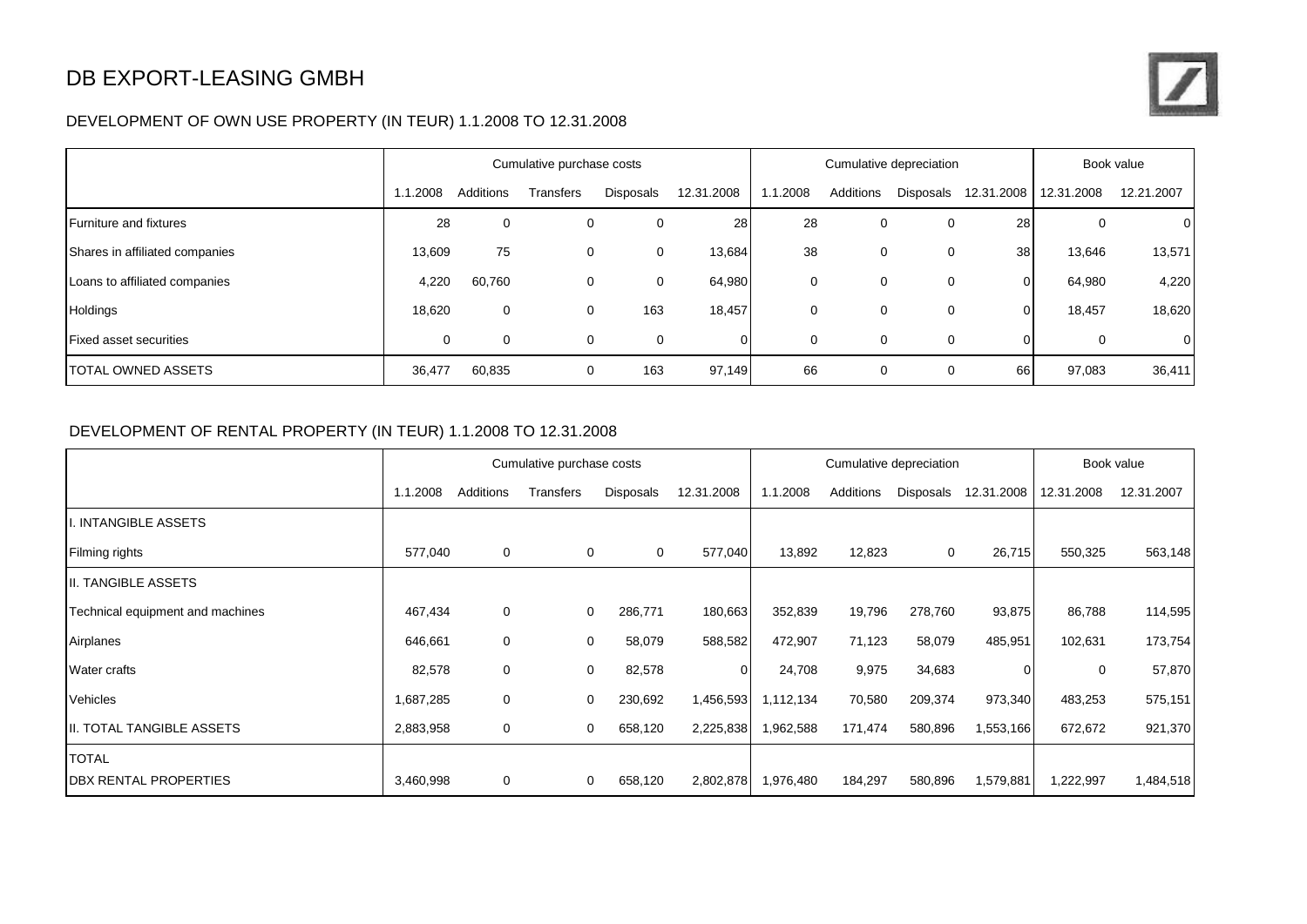## DB EXPORT-LEASING GMBH

#### DEVELOPMENT OF OWN USE PROPERTY (IN TEUR) 1.1.2008 TO 12.31.2008

|                                | Cumulative purchase costs |           |           | Cumulative depreciation |            |          |           | Book value |                      |            |                |
|--------------------------------|---------------------------|-----------|-----------|-------------------------|------------|----------|-----------|------------|----------------------|------------|----------------|
|                                | 1.1.2008                  | Additions | Transfers | Disposals               | 12.31.2008 | 1.1.2008 | Additions |            | Disposals 12.31.2008 | 12.31.2008 | 12.21.2007     |
| <b>Furniture and fixtures</b>  | 28                        | 0         | 0         | 0                       | 28         | 28       | 0         | 0          | 28                   | 0          | $\overline{0}$ |
| Shares in affiliated companies | 13,609                    | 75        | 0         | 0                       | 13,684     | 38       | 0         | 0          | 38                   | 13,646     | 13,571         |
| Loans to affiliated companies  | 4,220                     | 60,760    | 0         | 0                       | 64,980     | 0        | 0         | 0          | 0                    | 64,980     | 4,220          |
| Holdings                       | 18,620                    | 0         | 0         | 163                     | 18,457     | 0        | 0         | 0          | 0                    | 18,457     | 18,620         |
| <b>Fixed asset securities</b>  | 0                         | 0         | 0         | 0                       |            | 0        | 0         | 0          | 0                    | 0          | 0              |
| <b>TOTAL OWNED ASSETS</b>      | 36,477                    | 60,835    | 0         | 163                     | 97,149     | 66       | 0         | 0          | 66                   | 97,083     | 36,411         |

#### DEVELOPMENT OF RENTAL PROPERTY (IN TEUR) 1.1.2008 TO 12.31.2008

|                                  |           |             | Cumulative purchase costs |                  |            |           |           | Cumulative depreciation |            |            | Book value |
|----------------------------------|-----------|-------------|---------------------------|------------------|------------|-----------|-----------|-------------------------|------------|------------|------------|
|                                  | 1.1.2008  | Additions   | Transfers                 | <b>Disposals</b> | 12.31.2008 | 1.1.2008  | Additions | Disposals               | 12.31.2008 | 12.31.2008 | 12.31.2007 |
| I. INTANGIBLE ASSETS             |           |             |                           |                  |            |           |           |                         |            |            |            |
| Filming rights                   | 577,040   | 0           | $\mathbf 0$               | 0                | 577,040    | 13,892    | 12,823    | 0                       | 26,715     | 550,325    | 563,148    |
| II. TANGIBLE ASSETS              |           |             |                           |                  |            |           |           |                         |            |            |            |
| Technical equipment and machines | 467,434   | $\mathbf 0$ | $\overline{0}$            | 286,771          | 180,663    | 352,839   | 19,796    | 278,760                 | 93,875     | 86,788     | 114,595    |
| Airplanes                        | 646,661   | 0           | 0                         | 58,079           | 588,582    | 472,907   | 71,123    | 58,079                  | 485,951    | 102,631    | 173,754    |
| Water crafts                     | 82,578    | 0           | 0                         | 82,578           | 0          | 24,708    | 9,975     | 34,683                  | 0          | 0          | 57,870     |
| Vehicles                         | 1,687,285 | $\mathbf 0$ | $\mathbf 0$               | 230,692          | 1,456,593  | 1,112,134 | 70,580    | 209,374                 | 973,340    | 483,253    | 575,151    |
| II. TOTAL TANGIBLE ASSETS        | 2,883,958 | 0           | $\mathbf 0$               | 658,120          | 2,225,838  | 1,962,588 | 171,474   | 580,896                 | 1,553,166  | 672,672    | 921,370    |
| <b>TOTAL</b>                     |           |             |                           |                  |            |           |           |                         |            |            |            |
| <b>DBX RENTAL PROPERTIES</b>     | 3,460,998 | 0           | $\overline{0}$            | 658,120          | 2,802,878  | 1,976,480 | 184,297   | 580,896                 | 1,579,881  | ,222,997   | 1,484,518  |

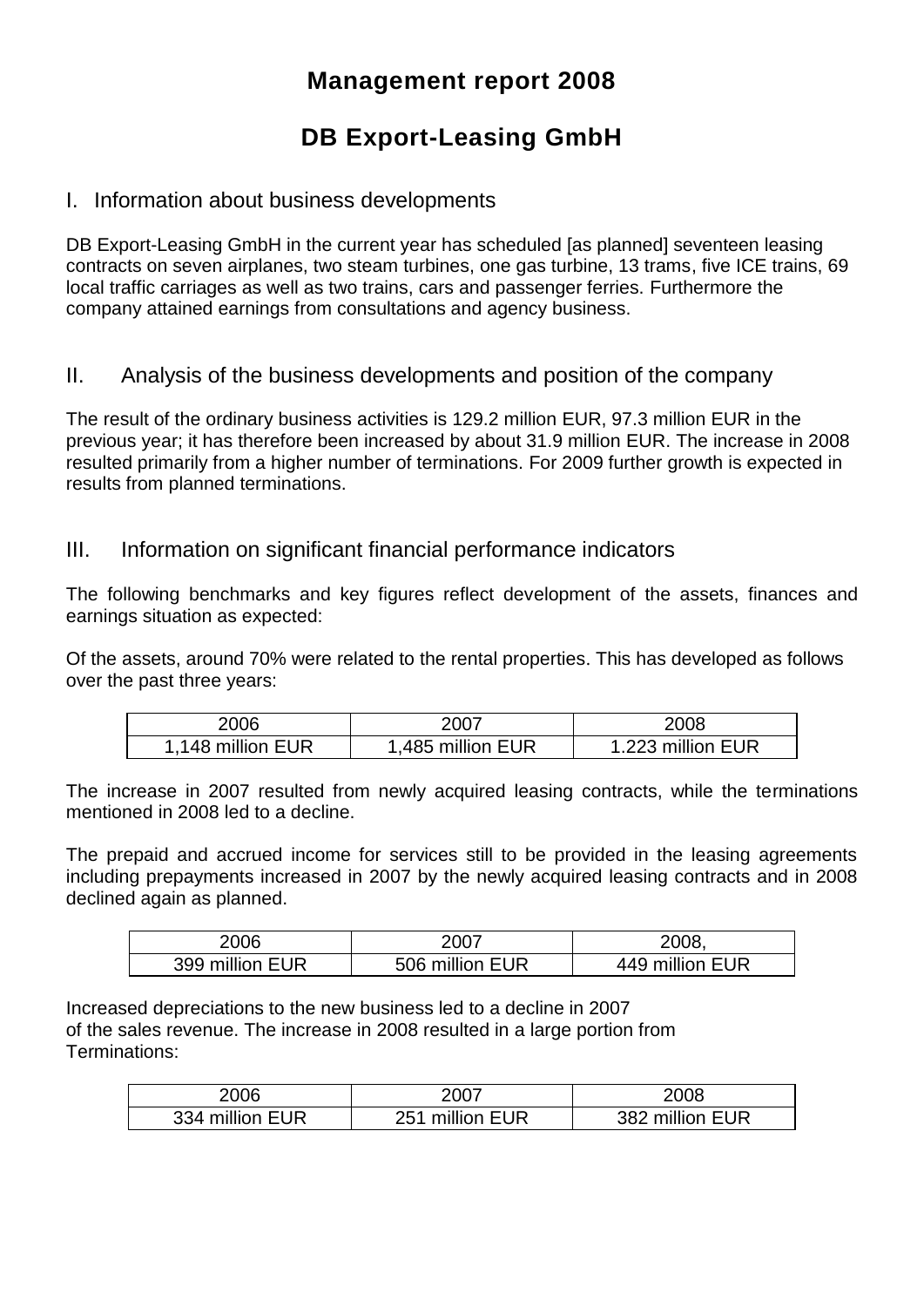## **Management report 2008**

# **DB Export-Leasing GmbH**

### I. Information about business developments

DB Export-Leasing GmbH in the current year has scheduled [as planned] seventeen leasing contracts on seven airplanes, two steam turbines, one gas turbine, 13 trams, five ICE trains, 69 local traffic carriages as well as two trains, cars and passenger ferries. Furthermore the company attained earnings from consultations and agency business.

### II. Analysis of the business developments and position of the company

The result of the ordinary business activities is 129.2 million EUR, 97.3 million EUR in the previous year; it has therefore been increased by about 31.9 million EUR. The increase in 2008 resulted primarily from a higher number of terminations. For 2009 further growth is expected in results from planned terminations.

#### III. Information on significant financial performance indicators

The following benchmarks and key figures reflect development of the assets, finances and earnings situation as expected:

Of the assets, around 70% were related to the rental properties. This has developed as follows over the past three years:

| 2006             | 2007              | 2008              |
|------------------|-------------------|-------------------|
| ,148 million EUR | 1,485 million EUR | 1.223 million EUR |

The increase in 2007 resulted from newly acquired leasing contracts, while the terminations mentioned in 2008 led to a decline.

The prepaid and accrued income for services still to be provided in the leasing agreements including prepayments increased in 2007 by the newly acquired leasing contracts and in 2008 declined again as planned.

| 2006            | 2007            | 2008.           |
|-----------------|-----------------|-----------------|
| 399 million EUR | 506 million EUR | 449 million EUR |

Increased depreciations to the new business led to a decline in 2007 of the sales revenue. The increase in 2008 resulted in a large portion from Terminations:

| 2006            | 2007            | 2008            |
|-----------------|-----------------|-----------------|
| 334 million EUR | 251 million EUR | 382 million EUR |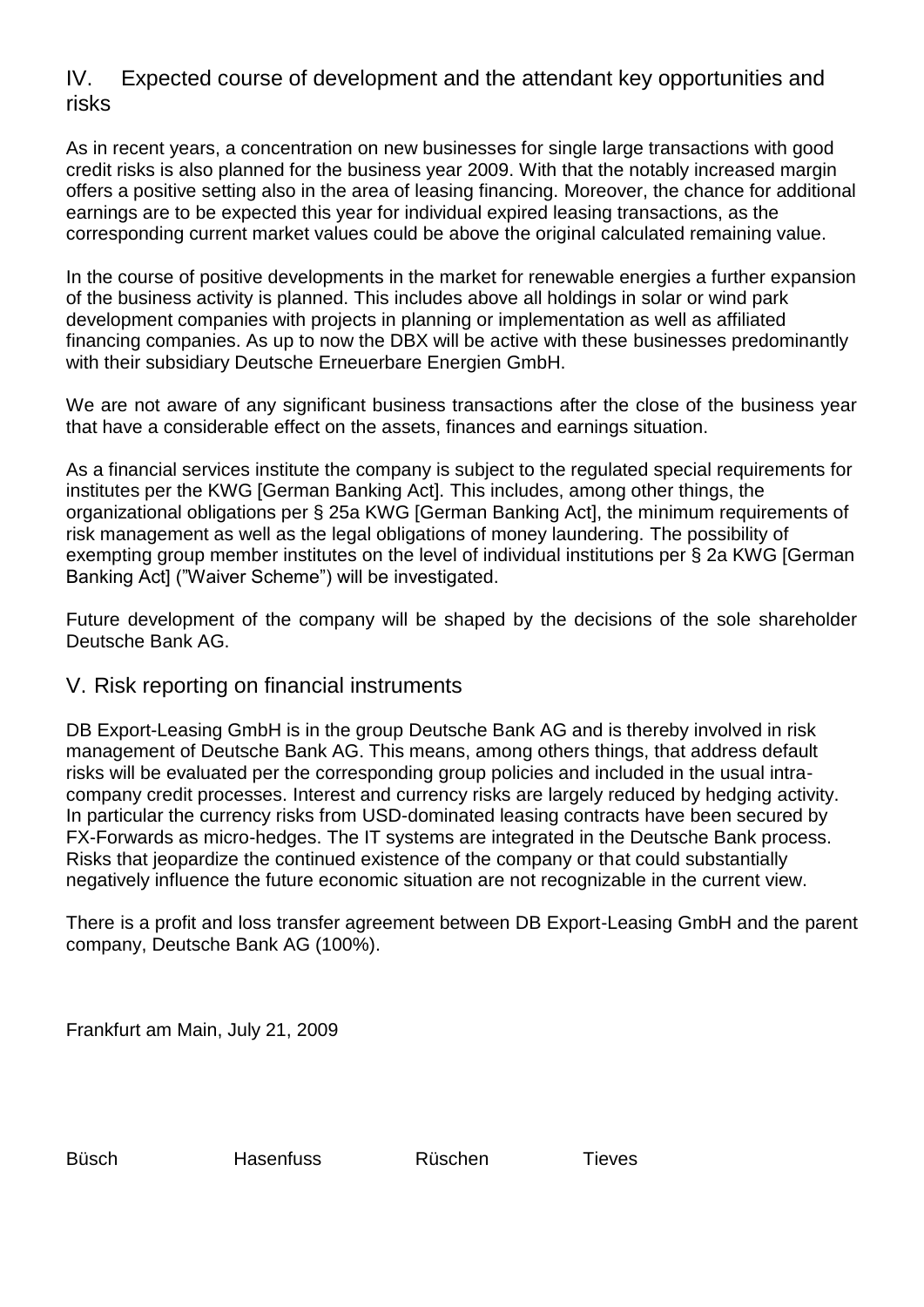### IV. Expected course of development and the attendant key opportunities and risks

As in recent years, a concentration on new businesses for single large transactions with good credit risks is also planned for the business year 2009. With that the notably increased margin offers a positive setting also in the area of leasing financing. Moreover, the chance for additional earnings are to be expected this year for individual expired leasing transactions, as the corresponding current market values could be above the original calculated remaining value.

In the course of positive developments in the market for renewable energies a further expansion of the business activity is planned. This includes above all holdings in solar or wind park development companies with projects in planning or implementation as well as affiliated financing companies. As up to now the DBX will be active with these businesses predominantly with their subsidiary Deutsche Erneuerbare Energien GmbH.

We are not aware of any significant business transactions after the close of the business year that have a considerable effect on the assets, finances and earnings situation.

As a financial services institute the company is subject to the regulated special requirements for institutes per the KWG [German Banking Act]. This includes, among other things, the organizational obligations per § 25a KWG [German Banking Act], the minimum requirements of risk management as well as the legal obligations of money laundering. The possibility of exempting group member institutes on the level of individual institutions per § 2a KWG [German Banking Act] ("Waiver Scheme") will be investigated.

Future development of the company will be shaped by the decisions of the sole shareholder Deutsche Bank AG.

### V. Risk reporting on financial instruments

DB Export-Leasing GmbH is in the group Deutsche Bank AG and is thereby involved in risk management of Deutsche Bank AG. This means, among others things, that address default risks will be evaluated per the corresponding group policies and included in the usual intracompany credit processes. Interest and currency risks are largely reduced by hedging activity. In particular the currency risks from USD-dominated leasing contracts have been secured by FX-Forwards as micro-hedges. The IT systems are integrated in the Deutsche Bank process. Risks that jeopardize the continued existence of the company or that could substantially negatively influence the future economic situation are not recognizable in the current view.

There is a profit and loss transfer agreement between DB Export-Leasing GmbH and the parent company, Deutsche Bank AG (100%).

Frankfurt am Main, July 21, 2009

Büsch Hasenfuss Rüschen Tieves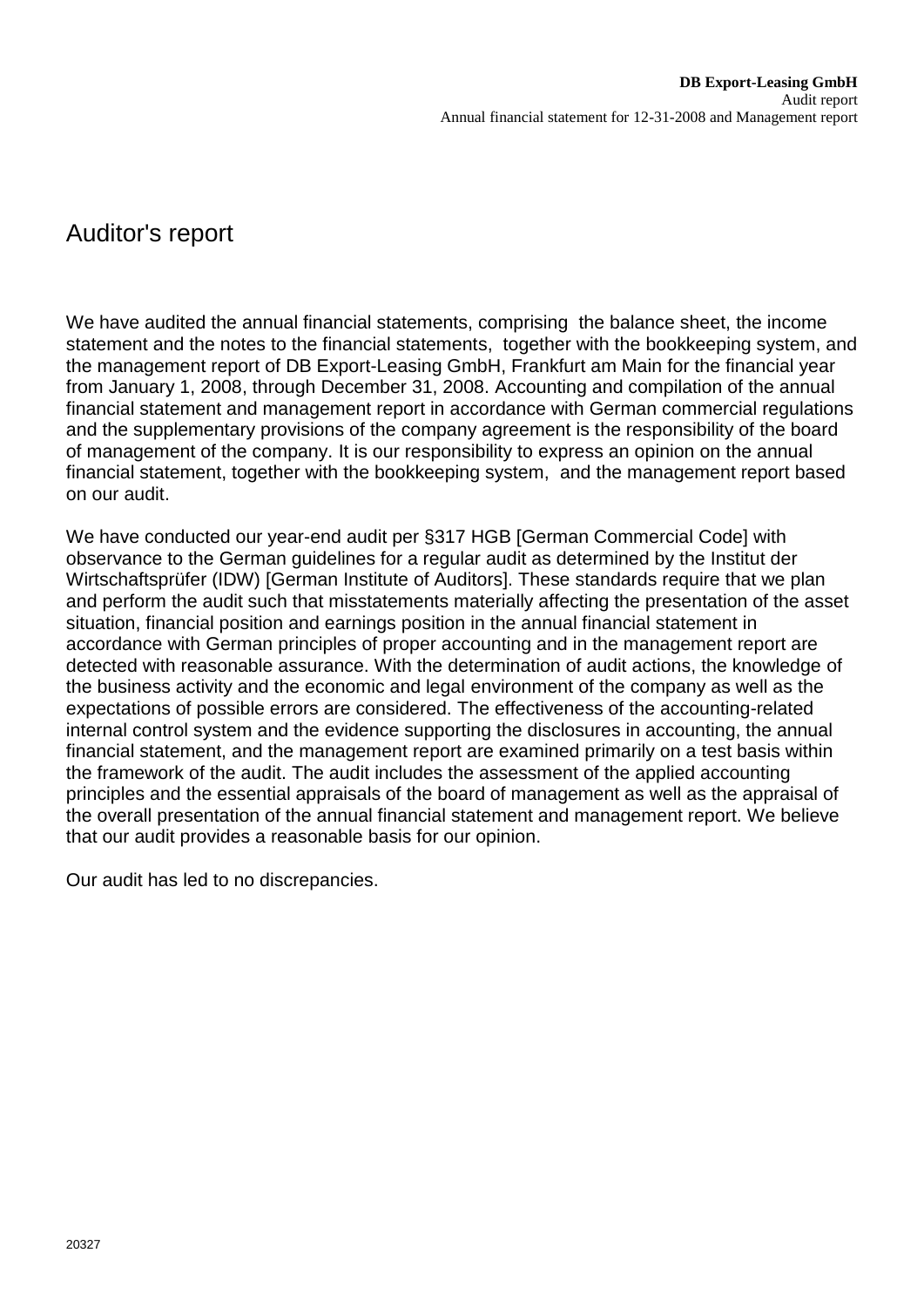## Auditor's report

We have audited the annual financial statements, comprising the balance sheet, the income statement and the notes to the financial statements, together with the bookkeeping system, and the management report of DB Export-Leasing GmbH, Frankfurt am Main for the financial year from January 1, 2008, through December 31, 2008. Accounting and compilation of the annual financial statement and management report in accordance with German commercial regulations and the supplementary provisions of the company agreement is the responsibility of the board of management of the company. It is our responsibility to express an opinion on the annual financial statement, together with the bookkeeping system, and the management report based on our audit.

We have conducted our year-end audit per §317 HGB [German Commercial Code] with observance to the German guidelines for a regular audit as determined by the Institut der Wirtschaftsprüfer (IDW) [German Institute of Auditors]. These standards require that we plan and perform the audit such that misstatements materially affecting the presentation of the asset situation, financial position and earnings position in the annual financial statement in accordance with German principles of proper accounting and in the management report are detected with reasonable assurance. With the determination of audit actions, the knowledge of the business activity and the economic and legal environment of the company as well as the expectations of possible errors are considered. The effectiveness of the accounting-related internal control system and the evidence supporting the disclosures in accounting, the annual financial statement, and the management report are examined primarily on a test basis within the framework of the audit. The audit includes the assessment of the applied accounting principles and the essential appraisals of the board of management as well as the appraisal of the overall presentation of the annual financial statement and management report. We believe that our audit provides a reasonable basis for our opinion.

Our audit has led to no discrepancies.